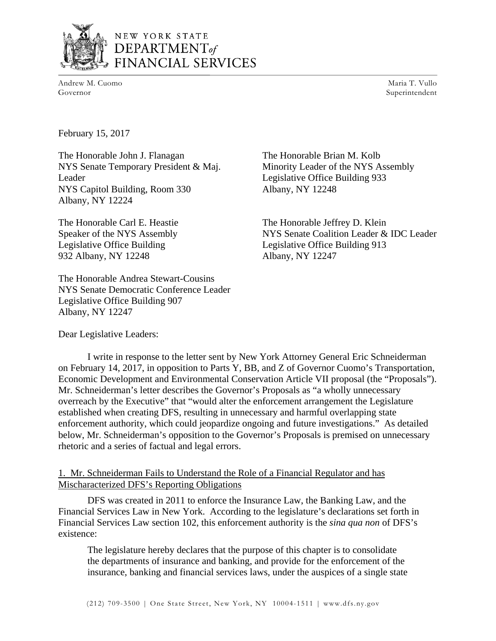

# NEW YORK STATE DEPARTMENT of FINANCIAL SERVICES

Andrew M. Cuomo Governor

Maria T. Vullo Superintendent

February 15, 2017

The Honorable John J. Flanagan NYS Senate Temporary President & Maj. Leader NYS Capitol Building, Room 330 Albany, NY 12224

The Honorable Carl E. Heastie Speaker of the NYS Assembly Legislative Office Building 932 Albany, NY 12248

The Honorable Andrea Stewart-Cousins NYS Senate Democratic Conference Leader Legislative Office Building 907 Albany, NY 12247

The Honorable Brian M. Kolb Minority Leader of the NYS Assembly Legislative Office Building 933 Albany, NY 12248

The Honorable Jeffrey D. Klein NYS Senate Coalition Leader & IDC Leader Legislative Office Building 913 Albany, NY 12247

Dear Legislative Leaders:

I write in response to the letter sent by New York Attorney General Eric Schneiderman on February 14, 2017, in opposition to Parts Y, BB, and Z of Governor Cuomo's Transportation, Economic Development and Environmental Conservation Article VII proposal (the "Proposals"). Mr. Schneiderman's letter describes the Governor's Proposals as "a wholly unnecessary overreach by the Executive" that "would alter the enforcement arrangement the Legislature established when creating DFS, resulting in unnecessary and harmful overlapping state enforcement authority, which could jeopardize ongoing and future investigations." As detailed below, Mr. Schneiderman's opposition to the Governor's Proposals is premised on unnecessary rhetoric and a series of factual and legal errors.

## 1. Mr. Schneiderman Fails to Understand the Role of a Financial Regulator and has Mischaracterized DFS's Reporting Obligations

DFS was created in 2011 to enforce the Insurance Law, the Banking Law, and the Financial Services Law in New York. According to the legislature's declarations set forth in Financial Services Law section 102, this enforcement authority is the *sina qua non* of DFS's existence:

The legislature hereby declares that the purpose of this chapter is to consolidate the departments of insurance and banking, and provide for the enforcement of the insurance, banking and financial services laws, under the auspices of a single state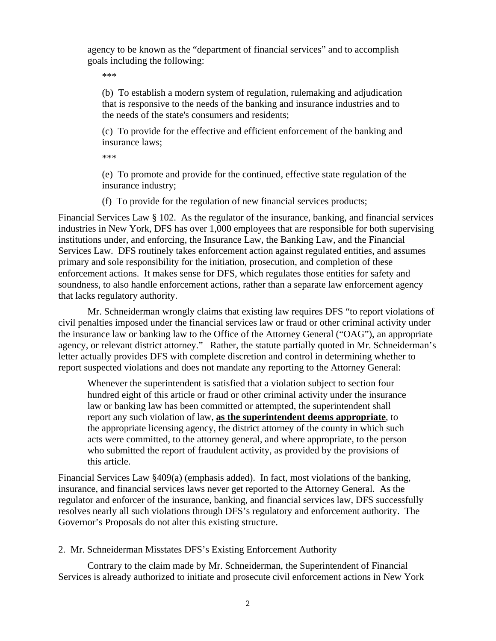agency to be known as the "department of financial services" and to accomplish goals including the following:

\*\*\*

(b) To establish a modern system of regulation, rulemaking and adjudication that is responsive to the needs of the banking and insurance industries and to the needs of the state's consumers and residents;

(c) To provide for the effective and efficient enforcement of the banking and insurance laws;

\*\*\*

(e) To promote and provide for the continued, effective state regulation of the insurance industry;

(f) To provide for the regulation of new financial services products;

Financial Services Law § 102. As the regulator of the insurance, banking, and financial services industries in New York, DFS has over 1,000 employees that are responsible for both supervising institutions under, and enforcing, the Insurance Law, the Banking Law, and the Financial Services Law. DFS routinely takes enforcement action against regulated entities, and assumes primary and sole responsibility for the initiation, prosecution, and completion of these enforcement actions. It makes sense for DFS, which regulates those entities for safety and soundness, to also handle enforcement actions, rather than a separate law enforcement agency that lacks regulatory authority.

Mr. Schneiderman wrongly claims that existing law requires DFS "to report violations of civil penalties imposed under the financial services law or fraud or other criminal activity under the insurance law or banking law to the Office of the Attorney General ("OAG"), an appropriate agency, or relevant district attorney." Rather, the statute partially quoted in Mr. Schneiderman's letter actually provides DFS with complete discretion and control in determining whether to report suspected violations and does not mandate any reporting to the Attorney General:

Whenever the superintendent is satisfied that a violation subject to section four hundred eight of this article or fraud or other criminal activity under the insurance law or banking law has been committed or attempted, the superintendent shall report any such violation of law, **as the superintendent deems appropriate**, to the appropriate licensing agency, the district attorney of the county in which such acts were committed, to the attorney general, and where appropriate, to the person who submitted the report of fraudulent activity, as provided by the provisions of this article.

Financial Services Law §409(a) (emphasis added). In fact, most violations of the banking, insurance, and financial services laws never get reported to the Attorney General. As the regulator and enforcer of the insurance, banking, and financial services law, DFS successfully resolves nearly all such violations through DFS's regulatory and enforcement authority. The Governor's Proposals do not alter this existing structure.

## 2. Mr. Schneiderman Misstates DFS's Existing Enforcement Authority

Contrary to the claim made by Mr. Schneiderman, the Superintendent of Financial Services is already authorized to initiate and prosecute civil enforcement actions in New York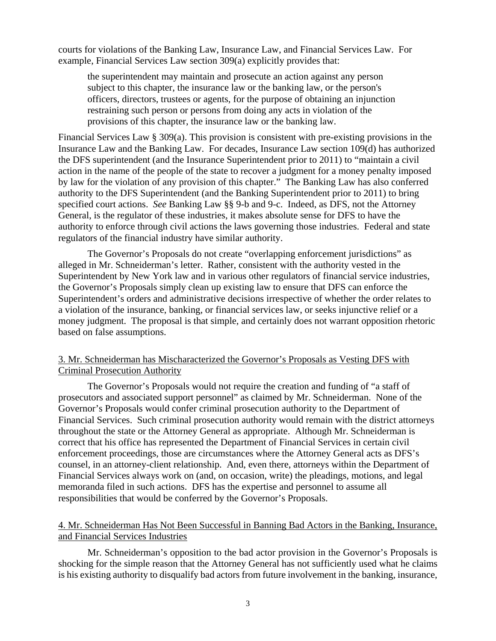courts for violations of the Banking Law, Insurance Law, and Financial Services Law. For example, Financial Services Law section 309(a) explicitly provides that:

the superintendent may maintain and prosecute an action against any person subject to this chapter, the insurance law or the banking law, or the person's officers, directors, trustees or agents, for the purpose of obtaining an injunction restraining such person or persons from doing any acts in violation of the provisions of this chapter, the insurance law or the banking law.

Financial Services Law § 309(a). This provision is consistent with pre-existing provisions in the Insurance Law and the Banking Law. For decades, Insurance Law section 109(d) has authorized the DFS superintendent (and the Insurance Superintendent prior to 2011) to "maintain a civil action in the name of the people of the state to recover a judgment for a money penalty imposed by law for the violation of any provision of this chapter." The Banking Law has also conferred authority to the DFS Superintendent (and the Banking Superintendent prior to 2011) to bring specified court actions. *See* Banking Law §§ 9-b and 9-c. Indeed, as DFS, not the Attorney General, is the regulator of these industries, it makes absolute sense for DFS to have the authority to enforce through civil actions the laws governing those industries. Federal and state regulators of the financial industry have similar authority.

The Governor's Proposals do not create "overlapping enforcement jurisdictions" as alleged in Mr. Schneiderman's letter. Rather, consistent with the authority vested in the Superintendent by New York law and in various other regulators of financial service industries, the Governor's Proposals simply clean up existing law to ensure that DFS can enforce the Superintendent's orders and administrative decisions irrespective of whether the order relates to a violation of the insurance, banking, or financial services law, or seeks injunctive relief or a money judgment. The proposal is that simple, and certainly does not warrant opposition rhetoric based on false assumptions.

#### 3. Mr. Schneiderman has Mischaracterized the Governor's Proposals as Vesting DFS with Criminal Prosecution Authority

The Governor's Proposals would not require the creation and funding of "a staff of prosecutors and associated support personnel" as claimed by Mr. Schneiderman. None of the Governor's Proposals would confer criminal prosecution authority to the Department of Financial Services. Such criminal prosecution authority would remain with the district attorneys throughout the state or the Attorney General as appropriate. Although Mr. Schneiderman is correct that his office has represented the Department of Financial Services in certain civil enforcement proceedings, those are circumstances where the Attorney General acts as DFS's counsel, in an attorney-client relationship. And, even there, attorneys within the Department of Financial Services always work on (and, on occasion, write) the pleadings, motions, and legal memoranda filed in such actions. DFS has the expertise and personnel to assume all responsibilities that would be conferred by the Governor's Proposals.

### 4. Mr. Schneiderman Has Not Been Successful in Banning Bad Actors in the Banking, Insurance, and Financial Services Industries

 Mr. Schneiderman's opposition to the bad actor provision in the Governor's Proposals is shocking for the simple reason that the Attorney General has not sufficiently used what he claims is his existing authority to disqualify bad actors from future involvement in the banking, insurance,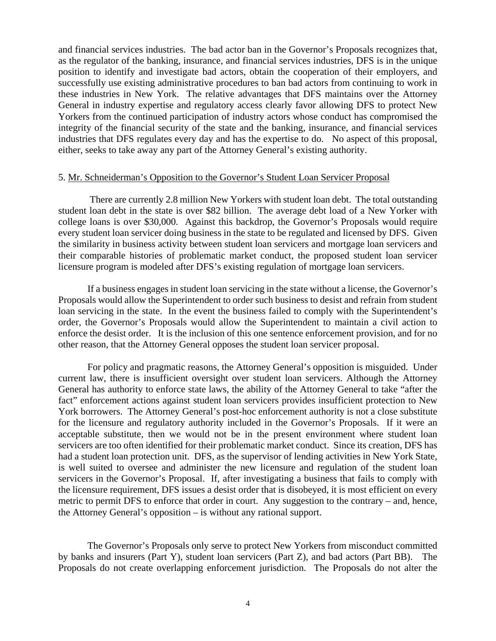and financial services industries. The bad actor ban in the Governor's Proposals recognizes that, as the regulator of the banking, insurance, and financial services industries, DFS is in the unique position to identify and investigate bad actors, obtain the cooperation of their employers, and successfully use existing administrative procedures to ban bad actors from continuing to work in these industries in New York. The relative advantages that DFS maintains over the Attorney General in industry expertise and regulatory access clearly favor allowing DFS to protect New Yorkers from the continued participation of industry actors whose conduct has compromised the integrity of the financial security of the state and the banking, insurance, and financial services industries that DFS regulates every day and has the expertise to do. No aspect of this proposal, either, seeks to take away any part of the Attorney General's existing authority.

#### 5. Mr. Schneiderman's Opposition to the Governor's Student Loan Servicer Proposal

 There are currently 2.8 million New Yorkers with student loan debt. The total outstanding student loan debt in the state is over \$82 billion. The average debt load of a New Yorker with college loans is over \$30,000. Against this backdrop, the Governor's Proposals would require every student loan servicer doing business in the state to be regulated and licensed by DFS. Given the similarity in business activity between student loan servicers and mortgage loan servicers and their comparable histories of problematic market conduct, the proposed student loan servicer licensure program is modeled after DFS's existing regulation of mortgage loan servicers.

If a business engages in student loan servicing in the state without a license, the Governor's Proposals would allow the Superintendent to order such business to desist and refrain from student loan servicing in the state. In the event the business failed to comply with the Superintendent's order, the Governor's Proposals would allow the Superintendent to maintain a civil action to enforce the desist order. It is the inclusion of this one sentence enforcement provision, and for no other reason, that the Attorney General opposes the student loan servicer proposal.

For policy and pragmatic reasons, the Attorney General's opposition is misguided. Under current law, there is insufficient oversight over student loan servicers. Although the Attorney General has authority to enforce state laws, the ability of the Attorney General to take "after the fact" enforcement actions against student loan servicers provides insufficient protection to New York borrowers. The Attorney General's post-hoc enforcement authority is not a close substitute for the licensure and regulatory authority included in the Governor's Proposals. If it were an acceptable substitute, then we would not be in the present environment where student loan servicers are too often identified for their problematic market conduct. Since its creation, DFS has had a student loan protection unit. DFS, as the supervisor of lending activities in New York State, is well suited to oversee and administer the new licensure and regulation of the student loan servicers in the Governor's Proposal. If, after investigating a business that fails to comply with the licensure requirement, DFS issues a desist order that is disobeyed, it is most efficient on every metric to permit DFS to enforce that order in court. Any suggestion to the contrary – and, hence, the Attorney General's opposition – is without any rational support.

The Governor's Proposals only serve to protect New Yorkers from misconduct committed by banks and insurers (Part Y), student loan servicers (Part Z), and bad actors (Part BB). The Proposals do not create overlapping enforcement jurisdiction. The Proposals do not alter the